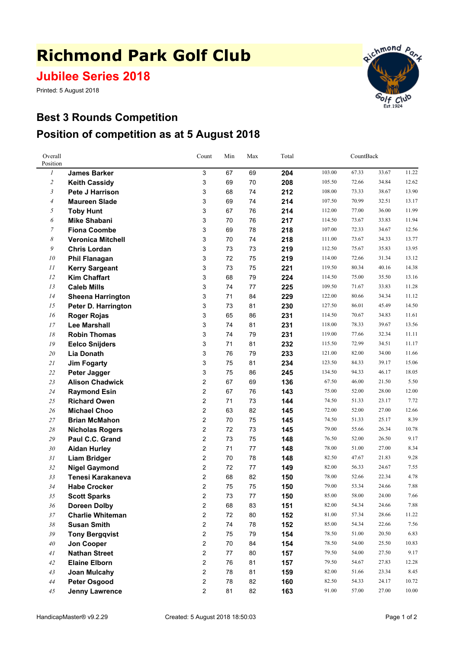## **Richmond Park Golf Club**

**Jubilee Series 2018**

Printed: 5 August 2018



## **Best 3 Rounds Competition Position of competition as at 5 August 2018**

| Overall<br>Position |                          | Count               | Min<br>Max |          |     | Total          |                | CountBack      |               |  |
|---------------------|--------------------------|---------------------|------------|----------|-----|----------------|----------------|----------------|---------------|--|
| $\boldsymbol{l}$    | <b>James Barker</b>      | 3                   | 67         | 69       | 204 | 103.00         | 67.33          | 33.67          | 11.22         |  |
| $\overline{c}$      | <b>Keith Cassidy</b>     | 3                   | 69         | 70       | 208 | 105.50         | 72.66          | 34.84          | 12.62         |  |
| 3                   | <b>Pete J Harrison</b>   | 3                   | 68         | 74       | 212 | 108.00         | 73.33          | 38.67          | 13.90         |  |
| $\overline{4}$      | <b>Maureen Slade</b>     | 3                   | 69         | 74       | 214 | 107.50         | 70.99          | 32.51          | 13.17         |  |
| 5                   | <b>Toby Hunt</b>         | 3                   | 67         | 76       | 214 | 112.00         | 77.00          | 36.00          | 11.99         |  |
| 6                   | <b>Mike Shabani</b>      | 3                   | 70         | 76       | 217 | 114.50         | 73.67          | 33.83          | 11.94         |  |
| $\overline{7}$      | <b>Fiona Coombe</b>      | 3                   | 69         | 78       | 218 | 107.00         | 72.33          | 34.67          | 12.56         |  |
| 8                   | <b>Veronica Mitchell</b> | 3                   | 70         | 74       | 218 | 111.00         | 73.67          | 34.33          | 13.77         |  |
| 9                   | <b>Chris Lordan</b>      | 3                   | 73         | 73       | 219 | 112.50         | 75.67          | 35.83          | 13.95         |  |
| 10                  | <b>Phil Flanagan</b>     | 3                   | 72         | 75       | 219 | 114.00         | 72.66          | 31.34          | 13.12         |  |
| 11                  | <b>Kerry Sargeant</b>    | 3                   | 73         | 75       | 221 | 119.50         | 80.34          | 40.16          | 14.38         |  |
| 12                  | <b>Kim Chaffart</b>      | 3                   | 68         | 79       | 224 | 114.50         | 75.00          | 35.50          | 13.16         |  |
| 13                  | <b>Caleb Mills</b>       | 3                   | 74         | 77       | 225 | 109.50         | 71.67          | 33.83          | 11.28         |  |
| 14                  | <b>Sheena Harrington</b> | 3                   | 71         | 84       | 229 | 122.00         | 80.66          | 34.34          | 11.12         |  |
| 15                  | Peter D. Harrington      | 3                   | 73         | 81       | 230 | 127.50         | 86.01          | 45.49          | 14.50         |  |
| 16                  | <b>Roger Rojas</b>       | 3                   | 65         | 86       | 231 | 114.50         | 70.67          | 34.83          | 11.61         |  |
| 17                  | <b>Lee Marshall</b>      | 3                   | 74         | 81       | 231 | 118.00         | 78.33          | 39.67          | 13.56         |  |
| 18                  | <b>Robin Thomas</b>      | 3                   | 74         | 79       | 231 | 119.00         | 77.66          | 32.34          | 11.11         |  |
| 19                  | <b>Eelco Snijders</b>    | 3                   | 71         | 81       | 232 | 115.50         | 72.99          | 34.51          | 11.17         |  |
| 20                  | <b>Lia Donath</b>        | 3                   | 76         | 79       | 233 | 121.00         | 82.00          | 34.00          | 11.66         |  |
| 21                  | <b>Jim Fogarty</b>       | 3                   | 75         | 81       | 234 | 123.50         | 84.33          | 39.17          | 15.06         |  |
| 22                  | Peter Jagger             | 3                   | 75         | 86       | 245 | 134.50         | 94.33          | 46.17          | 18.05         |  |
| 23                  | <b>Alison Chadwick</b>   | 2                   | 67         | 69       | 136 | 67.50          | 46.00          | 21.50          | 5.50          |  |
| 24                  | <b>Raymond Esin</b>      | $\overline{2}$      | 67         | 76       | 143 | 75.00          | 52.00          | 28.00          | 12.00         |  |
| 25                  | <b>Richard Owen</b>      | $\overline{2}$      | 71         | 73       | 144 | 74.50          | 51.33          | 23.17          | 7.72          |  |
| 26                  | <b>Michael Choo</b>      | $\overline{2}$      | 63         | 82       | 145 | 72.00          | 52.00          | 27.00          | 12.66         |  |
| 27                  | <b>Brian McMahon</b>     | 2                   | 70         | 75       | 145 | 74.50          | 51.33          | 25.17          | 8.39          |  |
| $28\,$              | <b>Nicholas Rogers</b>   | 2                   | 72         | 73       | 145 | 79.00          | 55.66          | 26.34          | 10.78         |  |
| 29                  | Paul C.C. Grand          | $\overline{c}$      | 73         | 75       | 148 | 76.50          | 52.00          | 26.50          | 9.17          |  |
| 30                  | <b>Aidan Hurley</b>      | $\overline{2}$      | 71         | 77       | 148 | 78.00          | 51.00          | 27.00          | 8.34          |  |
| 31                  | <b>Liam Bridger</b>      | 2                   | 70         | 78       | 148 | 82.50          | 47.67          | 21.83          | 9.28          |  |
| 32                  | <b>Nigel Gaymond</b>     | $\overline{2}$      | 72         | 77       | 149 | 82.00          | 56.33          | 24.67          | 7.55          |  |
| 33                  | Tenesi Karakaneva        | 2                   | 68         | 82       | 150 | 78.00          | 52.66          | 22.34          | 4.78          |  |
| 34                  | <b>Habe Crocker</b>      | $\overline{2}$      | 75         | 75       | 150 | 79.00          | 53.34          | 24.66          | 7.88          |  |
| 35                  | <b>Scott Sparks</b>      | 2                   | 73         | 77       | 150 | 85.00          | 58.00          | 24.00          | 7.66          |  |
| 36                  | <b>Doreen Dolby</b>      | $\overline{c}$      | 68         | 83       | 151 | 82.00          | 54.34          | 24.66          | 7.88          |  |
| 37                  | <b>Charlie Whiteman</b>  | 2                   | 72         | 80       | 152 | 81.00<br>85.00 | 57.34<br>54.34 | 28.66<br>22.66 | 11.22<br>7.56 |  |
| 38                  | <b>Susan Smith</b>       | 2<br>$\overline{2}$ | 74         | 78       | 152 |                | 51.00          | 20.50          | 6.83          |  |
| 39                  | <b>Tony Bergqvist</b>    | $\overline{2}$      | 75         | 79       | 154 | 78.50<br>78.50 | 54.00          | 25.50          | 10.83         |  |
| 40                  | Jon Cooper               |                     | 70         | 84       | 154 | 79.50          | 54.00          |                | 9.17          |  |
| 41<br>42            | <b>Nathan Street</b>     | 2<br>$\overline{2}$ | 77<br>76   | 80<br>81 | 157 | 79.50          | 54.67          | 27.50<br>27.83 | 12.28         |  |
| 43                  | <b>Elaine Elborn</b>     | 2                   | 78         |          | 157 | 82.00          | 51.66          | 23.34          | 8.45          |  |
| 44                  | <b>Joan Mulcahy</b>      | 2                   | 78         | 81<br>82 | 159 | 82.50          | 54.33          | 24.17          | 10.72         |  |
|                     | <b>Peter Osgood</b>      | $\boldsymbol{2}$    |            |          | 160 | 91.00          | 57.00          | 27.00          | 10.00         |  |
| $45\,$              | <b>Jenny Lawrence</b>    |                     | 81         | 82       | 163 |                |                |                |               |  |